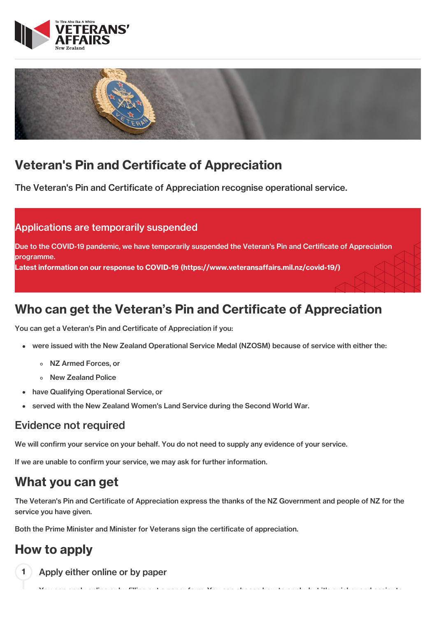



# Veteran's Pin and Certificate of Appreciation

The Veteran's Pin and Certificate of Appreciation recognise operational service.

### Applications are temporarily suspended

Due to the COVID-19 pandemic, we have temporarily suspended the Veteran's Pin and Certificate of Appreciation programme. Latest information on our response to COVID-19 [\(https://www.veteransaffairs.mil.nz/covid-19/\)](http://veteransaffairs.mil.nz/covid-19/)

# Who can get the Veteran's Pin and Certificate of Appreciation

You can get a Veteran's Pin and Certificate of Appreciation if you:

- were issued with the New Zealand Operational Service Medal (NZOSM) because of service with either the:
	- NZ Armed Forces, or
	- New Zealand Police
- have Qualifying Operational Service, or
- served with the New Zealand Women's Land Service during the Second World War.

#### Evidence not required

We will confirm your service on your behalf. You do not need to supply any evidence of your service.

If we are unable to confirm your service, we may ask for further information.

# What you can get

The Veteran's Pin and Certificate of Appreciation express the thanks of the NZ Government and people of NZ for the service you have given.

You can apply online or by filling out a paper form. You can choose how to apply, but it's quicker and easier to

Both the Prime Minister and Minister for Veterans sign the certificate of appreciation.

# How to apply

Apply either online or by paper 1